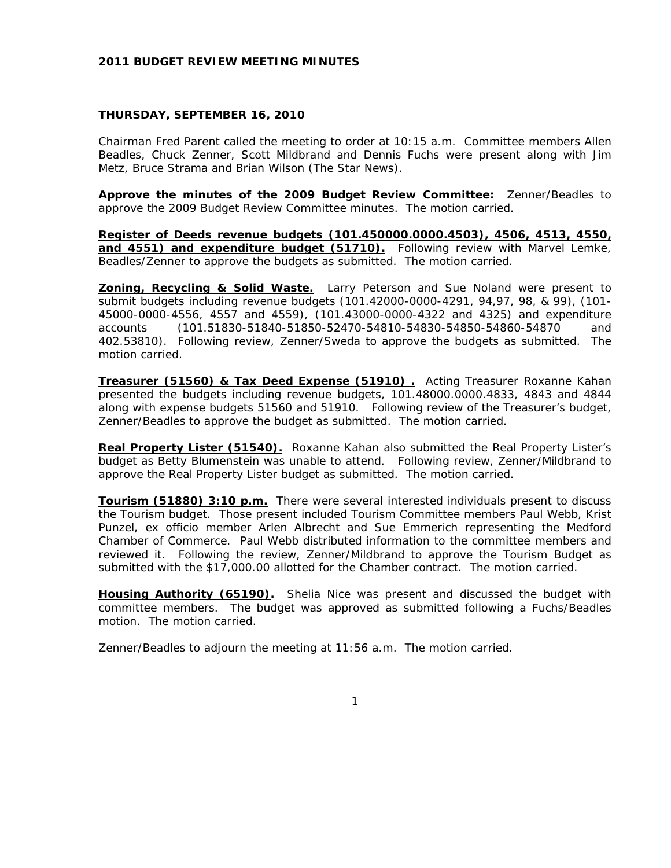# **2011 BUDGET REVIEW MEETING MINUTES**

# **THURSDAY, SEPTEMBER 16, 2010**

Chairman Fred Parent called the meeting to order at 10:15 a.m. Committee members Allen Beadles, Chuck Zenner, Scott Mildbrand and Dennis Fuchs were present along with Jim Metz, Bruce Strama and Brian Wilson (The Star News).

**Approve the minutes of the 2009 Budget Review Committee:** Zenner/Beadles to approve the 2009 Budget Review Committee minutes. The motion carried.

**Register of Deeds revenue budgets (101.450000.0000.4503), 4506, 4513, 4550,**  and 4551) and expenditure budget (51710). Following review with Marvel Lemke, Beadles/Zenner to approve the budgets as submitted. The motion carried.

**Zoning, Recycling & Solid Waste.** Larry Peterson and Sue Noland were present to submit budgets including revenue budgets (101.42000-0000-4291, 94,97, 98, & 99), (101- 45000-0000-4556, 4557 and 4559), (101.43000-0000-4322 and 4325) and expenditure accounts (101.51830-51840-51850-52470-54810-54830-54850-54860-54870 and 402.53810). Following review, Zenner/Sweda to approve the budgets as submitted. The motion carried.

**Treasurer (51560) & Tax Deed Expense (51910) .** Acting Treasurer Roxanne Kahan presented the budgets including revenue budgets, 101.48000.0000.4833, 4843 and 4844 along with expense budgets 51560 and 51910. Following review of the Treasurer's budget, Zenner/Beadles to approve the budget as submitted. The motion carried.

**Real Property Lister (51540).** Roxanne Kahan also submitted the Real Property Lister's budget as Betty Blumenstein was unable to attend. Following review, Zenner/Mildbrand to approve the Real Property Lister budget as submitted. The motion carried.

**Tourism (51880) 3:10 p.m.** There were several interested individuals present to discuss the Tourism budget. Those present included Tourism Committee members Paul Webb, Krist Punzel, ex officio member Arlen Albrecht and Sue Emmerich representing the Medford Chamber of Commerce. Paul Webb distributed information to the committee members and reviewed it. Following the review, Zenner/Mildbrand to approve the Tourism Budget as submitted with the \$17,000.00 allotted for the Chamber contract. The motion carried.

**Housing Authority (65190).** Shelia Nice was present and discussed the budget with committee members. The budget was approved as submitted following a Fuchs/Beadles motion. The motion carried.

Zenner/Beadles to adjourn the meeting at 11:56 a.m. The motion carried.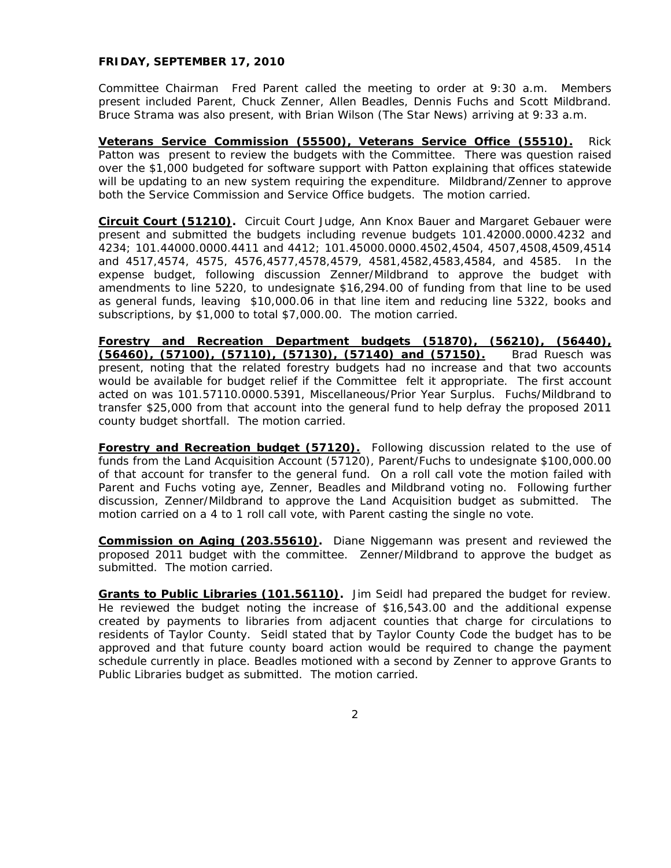### **FRIDAY, SEPTEMBER 17, 2010**

Committee Chairman Fred Parent called the meeting to order at 9:30 a.m. Members present included Parent, Chuck Zenner, Allen Beadles, Dennis Fuchs and Scott Mildbrand. Bruce Strama was also present, with Brian Wilson (The Star News) arriving at 9:33 a.m.

**Veterans Service Commission (55500), Veterans Service Office (55510).** Rick Patton was present to review the budgets with the Committee. There was question raised over the \$1,000 budgeted for software support with Patton explaining that offices statewide will be updating to an new system requiring the expenditure. Mildbrand/Zenner to approve both the Service Commission and Service Office budgets. The motion carried.

**Circuit Court (51210).** Circuit Court Judge, Ann Knox Bauer and Margaret Gebauer were present and submitted the budgets including revenue budgets 101.42000.0000.4232 and 4234; 101.44000.0000.4411 and 4412; 101.45000.0000.4502,4504, 4507,4508,4509,4514 and 4517,4574, 4575, 4576,4577,4578,4579, 4581,4582,4583,4584, and 4585. In the expense budget, following discussion Zenner/Mildbrand to approve the budget with amendments to line 5220, to undesignate \$16,294.00 of funding from that line to be used as general funds, leaving \$10,000.06 in that line item and reducing line 5322, books and subscriptions, by \$1,000 to total \$7,000.00. The motion carried.

**Forestry and Recreation Department budgets (51870), (56210), (56440), (56460), (57100), (57110), (57130), (57140) and (57150).** Brad Ruesch was present, noting that the related forestry budgets had no increase and that two accounts would be available for budget relief if the Committee felt it appropriate. The first account acted on was 101.57110.0000.5391, Miscellaneous/Prior Year Surplus. Fuchs/Mildbrand to transfer \$25,000 from that account into the general fund to help defray the proposed 2011 county budget shortfall. The motion carried.

**Forestry and Recreation budget (57120).** Following discussion related to the use of funds from the Land Acquisition Account (57120), Parent/Fuchs to undesignate \$100,000.00 of that account for transfer to the general fund. On a roll call vote the motion failed with Parent and Fuchs voting aye, Zenner, Beadles and Mildbrand voting no. Following further discussion, Zenner/Mildbrand to approve the Land Acquisition budget as submitted. The motion carried on a 4 to 1 roll call vote, with Parent casting the single no vote.

**Commission on Aging (203.55610).** Diane Niggemann was present and reviewed the proposed 2011 budget with the committee. Zenner/Mildbrand to approve the budget as submitted. The motion carried.

**Grants to Public Libraries (101.56110).** Jim Seidl had prepared the budget for review. He reviewed the budget noting the increase of \$16,543.00 and the additional expense created by payments to libraries from adjacent counties that charge for circulations to residents of Taylor County. Seidl stated that by Taylor County Code the budget has to be approved and that future county board action would be required to change the payment schedule currently in place. Beadles motioned with a second by Zenner to approve Grants to Public Libraries budget as submitted. The motion carried.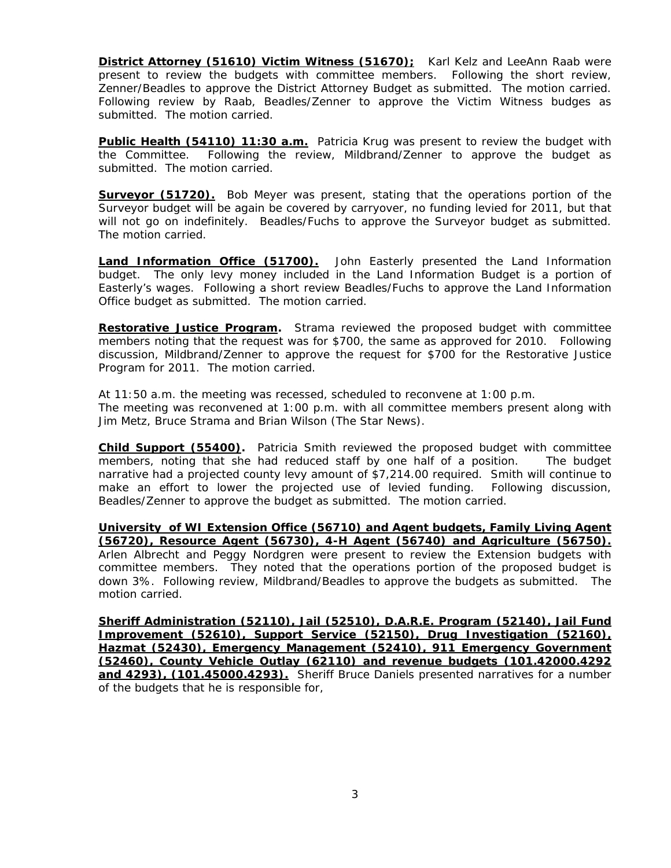**District Attorney (51610) Victim Witness (51670);** Karl Kelz and LeeAnn Raab were present to review the budgets with committee members. Following the short review, Zenner/Beadles to approve the District Attorney Budget as submitted. The motion carried. Following review by Raab, Beadles/Zenner to approve the Victim Witness budges as submitted. The motion carried.

**Public Health (54110) 11:30 a.m.** Patricia Krug was present to review the budget with the Committee. Following the review, Mildbrand/Zenner to approve the budget as submitted. The motion carried.

**Surveyor (51720).** Bob Meyer was present, stating that the operations portion of the Surveyor budget will be again be covered by carryover, no funding levied for 2011, but that will not go on indefinitely. Beadles/Fuchs to approve the Surveyor budget as submitted. The motion carried.

**Land Information Office (51700).** John Easterly presented the Land Information budget. The only levy money included in the Land Information Budget is a portion of Easterly's wages. Following a short review Beadles/Fuchs to approve the Land Information Office budget as submitted. The motion carried.

**Restorative Justice Program.** Strama reviewed the proposed budget with committee members noting that the request was for \$700, the same as approved for 2010. Following discussion, Mildbrand/Zenner to approve the request for \$700 for the Restorative Justice Program for 2011. The motion carried.

At 11:50 a.m. the meeting was recessed, scheduled to reconvene at 1:00 p.m. The meeting was reconvened at 1:00 p.m. with all committee members present along with Jim Metz, Bruce Strama and Brian Wilson (The Star News).

**Child Support (55400).** Patricia Smith reviewed the proposed budget with committee members, noting that she had reduced staff by one half of a position. The budget narrative had a projected county levy amount of \$7,214.00 required. Smith will continue to make an effort to lower the projected use of levied funding. Following discussion, Beadles/Zenner to approve the budget as submitted. The motion carried.

**University of WI Extension Office (56710) and Agent budgets, Family Living Agent (56720), Resource Agent (56730), 4-H Agent (56740) and Agriculture (56750).** Arlen Albrecht and Peggy Nordgren were present to review the Extension budgets with committee members. They noted that the operations portion of the proposed budget is down 3%. Following review, Mildbrand/Beadles to approve the budgets as submitted. The motion carried.

**Sheriff Administration (52110), Jail (52510), D.A.R.E. Program (52140), Jail Fund Improvement (52610), Support Service (52150), Drug Investigation (52160), Hazmat (52430), Emergency Management (52410), 911 Emergency Government (52460), County Vehicle Outlay (62110) and revenue budgets (101.42000.4292 and 4293), (101.45000.4293).** Sheriff Bruce Daniels presented narratives for a number of the budgets that he is responsible for,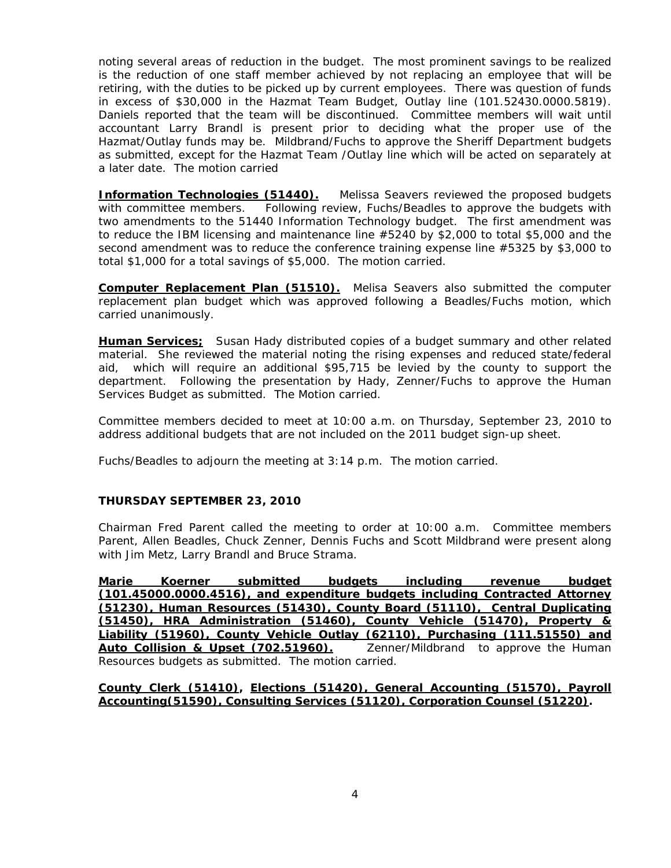noting several areas of reduction in the budget. The most prominent savings to be realized is the reduction of one staff member achieved by not replacing an employee that will be retiring, with the duties to be picked up by current employees. There was question of funds in excess of \$30,000 in the Hazmat Team Budget, Outlay line (101.52430.0000.5819). Daniels reported that the team will be discontinued. Committee members will wait until accountant Larry Brandl is present prior to deciding what the proper use of the Hazmat/Outlay funds may be. Mildbrand/Fuchs to approve the Sheriff Department budgets as submitted, except for the Hazmat Team /Outlay line which will be acted on separately at a later date. The motion carried

**Information Technologies (51440).** Melissa Seavers reviewed the proposed budgets with committee members. Following review, Fuchs/Beadles to approve the budgets with two amendments to the 51440 Information Technology budget. The first amendment was to reduce the IBM licensing and maintenance line #5240 by \$2,000 to total \$5,000 and the second amendment was to reduce the conference training expense line #5325 by \$3,000 to total \$1,000 for a total savings of \$5,000. The motion carried.

**Computer Replacement Plan (51510).** Melisa Seavers also submitted the computer replacement plan budget which was approved following a Beadles/Fuchs motion, which carried unanimously.

**Human Services;** Susan Hady distributed copies of a budget summary and other related material. She reviewed the material noting the rising expenses and reduced state/federal aid, which will require an additional \$95,715 be levied by the county to support the department. Following the presentation by Hady, Zenner/Fuchs to approve the Human Services Budget as submitted. The Motion carried.

Committee members decided to meet at 10:00 a.m. on Thursday, September 23, 2010 to address additional budgets that are not included on the 2011 budget sign-up sheet.

Fuchs/Beadles to adjourn the meeting at 3:14 p.m. The motion carried.

# **THURSDAY SEPTEMBER 23, 2010**

Chairman Fred Parent called the meeting to order at 10:00 a.m. Committee members Parent, Allen Beadles, Chuck Zenner, Dennis Fuchs and Scott Mildbrand were present along with Jim Metz, Larry Brandl and Bruce Strama.

**Marie Koerner submitted budgets including revenue budget (101.45000.0000.4516), and expenditure budgets including Contracted Attorney (51230), Human Resources (51430), County Board (51110), Central Duplicating (51450), HRA Administration (51460), County Vehicle (51470), Property & Liability (51960), County Vehicle Outlay (62110), Purchasing (111.51550) and**  Auto Collision & Upset (702.51960). Zenner/Mildbrand to approve the Human Resources budgets as submitted. The motion carried.

**County Clerk (51410), Elections (51420), General Accounting (51570), Payroll Accounting(51590), Consulting Services (51120), Corporation Counsel (51220).**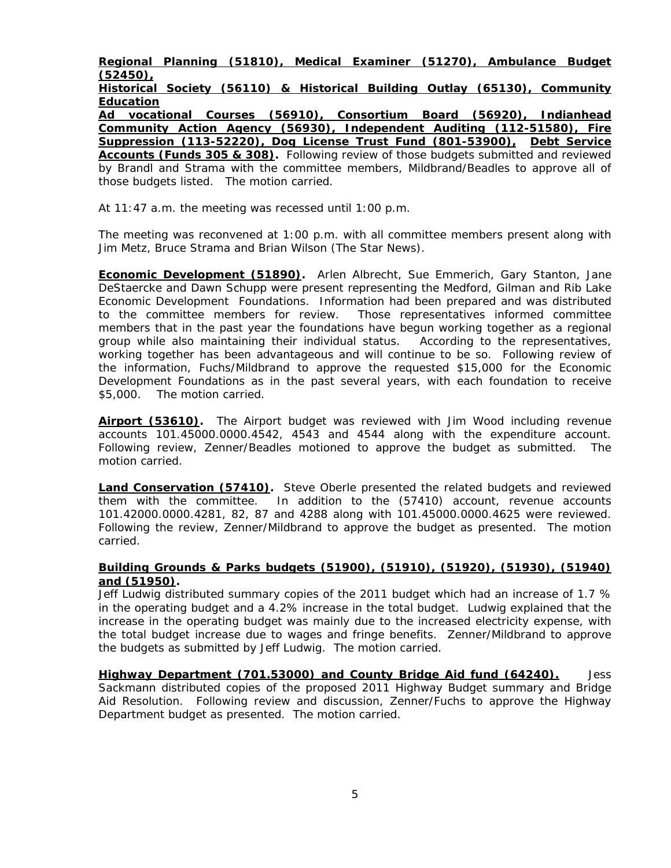**Regional Planning (51810), Medical Examiner (51270), Ambulance Budget (52450),** 

**Historical Society (56110) & Historical Building Outlay (65130), Community Education** 

**Ad vocational Courses (56910), Consortium Board (56920), Indianhead Community Action Agency (56930), Independent Auditing (112-51580), Fire Suppression (113-52220), Dog License Trust Fund (801-53900), Debt Service Accounts (Funds 305 & 308).** Following review of those budgets submitted and reviewed by Brandl and Strama with the committee members, Mildbrand/Beadles to approve all of those budgets listed. The motion carried.

At 11:47 a.m. the meeting was recessed until 1:00 p.m.

The meeting was reconvened at 1:00 p.m. with all committee members present along with Jim Metz, Bruce Strama and Brian Wilson (The Star News).

**Economic Development (51890).** Arlen Albrecht, Sue Emmerich, Gary Stanton, Jane DeStaercke and Dawn Schupp were present representing the Medford, Gilman and Rib Lake Economic Development Foundations. Information had been prepared and was distributed to the committee members for review. Those representatives informed committee members that in the past year the foundations have begun working together as a regional group while also maintaining their individual status. According to the representatives, working together has been advantageous and will continue to be so. Following review of the information, Fuchs/Mildbrand to approve the requested \$15,000 for the Economic Development Foundations as in the past several years, with each foundation to receive \$5,000. The motion carried.

**Airport (53610).** The Airport budget was reviewed with Jim Wood including revenue accounts 101.45000.0000.4542, 4543 and 4544 along with the expenditure account. Following review, Zenner/Beadles motioned to approve the budget as submitted. The motion carried.

**Land Conservation (57410).** Steve Oberle presented the related budgets and reviewed them with the committee. In addition to the (57410) account, revenue accounts 101.42000.0000.4281, 82, 87 and 4288 along with 101.45000.0000.4625 were reviewed. Following the review, Zenner/Mildbrand to approve the budget as presented. The motion carried.

### **Building Grounds & Parks budgets (51900), (51910), (51920), (51930), (51940) and (51950).**

Jeff Ludwig distributed summary copies of the 2011 budget which had an increase of 1.7 % in the operating budget and a 4.2% increase in the total budget. Ludwig explained that the increase in the operating budget was mainly due to the increased electricity expense, with the total budget increase due to wages and fringe benefits. Zenner/Mildbrand to approve the budgets as submitted by Jeff Ludwig. The motion carried.

**Highway Department (701.53000) and County Bridge Aid fund (64240).** Jess Sackmann distributed copies of the proposed 2011 Highway Budget summary and Bridge Aid Resolution. Following review and discussion, Zenner/Fuchs to approve the Highway Department budget as presented. The motion carried.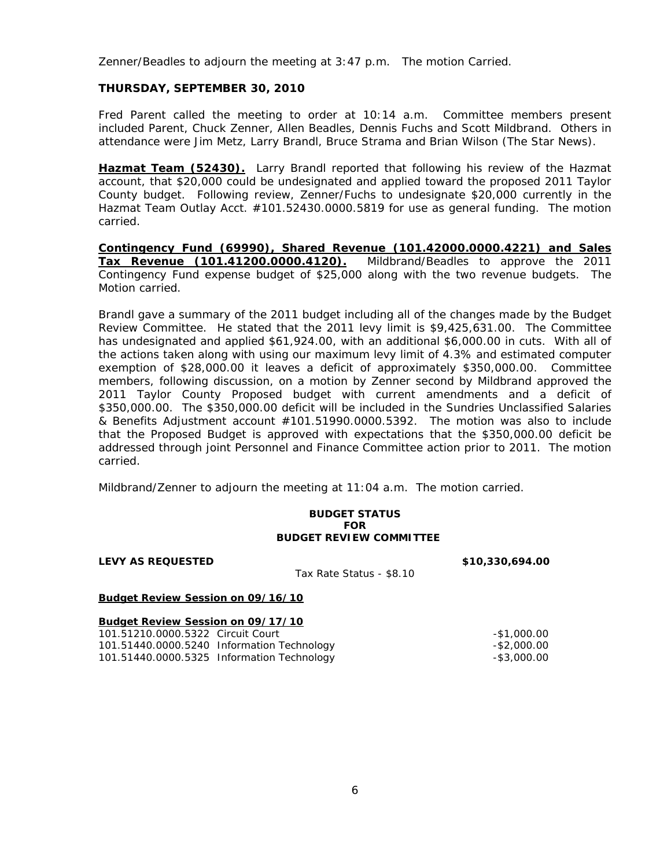Zenner/Beadles to adjourn the meeting at 3:47 p.m. The motion Carried.

### **THURSDAY, SEPTEMBER 30, 2010**

Fred Parent called the meeting to order at 10:14 a.m. Committee members present included Parent, Chuck Zenner, Allen Beadles, Dennis Fuchs and Scott Mildbrand. Others in attendance were Jim Metz, Larry Brandl, Bruce Strama and Brian Wilson (The Star News).

**Hazmat Team (52430).** Larry Brandl reported that following his review of the Hazmat account, that \$20,000 could be undesignated and applied toward the proposed 2011 Taylor County budget. Following review, Zenner/Fuchs to undesignate \$20,000 currently in the Hazmat Team Outlay Acct. #101.52430.0000.5819 for use as general funding. The motion carried.

**Contingency Fund (69990), Shared Revenue (101.42000.0000.4221) and Sales Tax Revenue (101.41200.0000.4120).** Mildbrand/Beadles to approve the 2011 Contingency Fund expense budget of \$25,000 along with the two revenue budgets. The Motion carried.

Brandl gave a summary of the 2011 budget including all of the changes made by the Budget Review Committee. He stated that the 2011 levy limit is \$9,425,631.00. The Committee has undesignated and applied \$61,924.00, with an additional \$6,000.00 in cuts. With all of the actions taken along with using our maximum levy limit of 4.3% and estimated computer exemption of \$28,000.00 it leaves a deficit of approximately \$350,000.00. Committee members, following discussion, on a motion by Zenner second by Mildbrand approved the 2011 Taylor County Proposed budget with current amendments and a deficit of \$350,000.00. The \$350,000.00 deficit will be included in the Sundries Unclassified Salaries & Benefits Adjustment account #101.51990.0000.5392. The motion was also to include that the Proposed Budget is approved with expectations that the \$350,000.00 deficit be addressed through joint Personnel and Finance Committee action prior to 2011. The motion carried.

Mildbrand/Zenner to adjourn the meeting at 11:04 a.m. The motion carried.

### **BUDGET STATUS FOR BUDGET REVIEW COMMITTEE**

**LEVY AS REQUESTED \$10,330,694.00** 

Tax Rate Status - \$8.10

#### **Budget Review Session on 09/16/10**

|  |  | Budget Review Session on 09/17/10 |  |
|--|--|-----------------------------------|--|
|  |  |                                   |  |

| 101.51210.0000.5322 Circuit Court |                                            | -\$1,000.00    |
|-----------------------------------|--------------------------------------------|----------------|
|                                   | 101.51440.0000.5240 Information Technology | $-$ \$2,000.00 |
|                                   | 101.51440.0000.5325 Information Technology | $-$ \$3,000.00 |